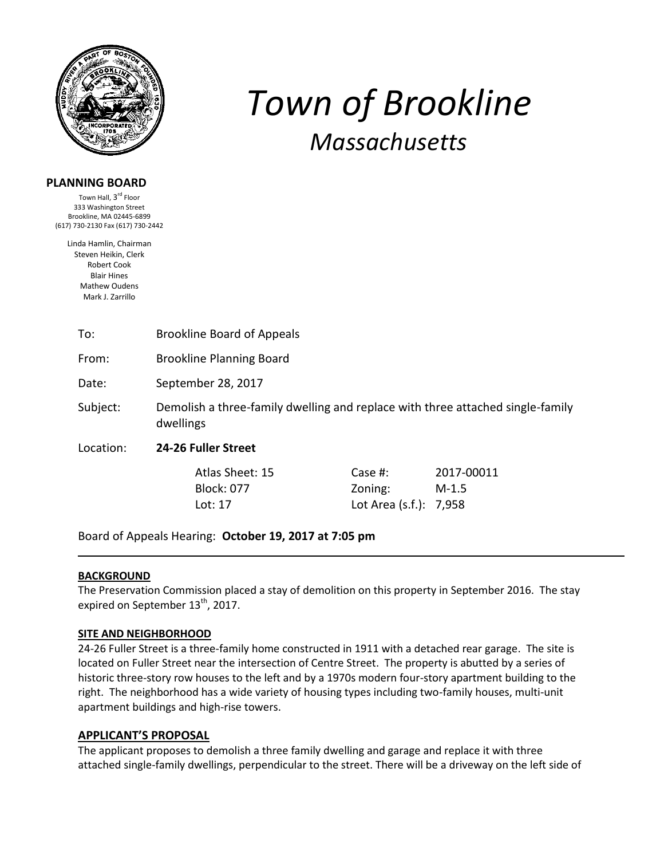

# **PLANNING BOARD**

Town Hall, 3<sup>rd</sup> Floor 333 Washington Street Brookline, MA 02445-6899 (617) 730-2130 Fax (617) 730-2442

Linda Hamlin, Chairman Steven Heikin, Clerk Robert Cook Blair Hines Mathew Oudens Mark J. Zarrillo

# To: Brookline Board of Appeals

From: Brookline Planning Board

Date: September 28, 2017

Subject: Demolish a three-family dwelling and replace with three attached single-family dwellings

Location: **24-26 Fuller Street** 

Atlas Sheet: 15 Case #: 2017-00011 Block: 077 Zoning: M-1.5 Lot: 17 Lot Area (s.f.): 7,958

*Town of Brookline*

*Massachusetts*

Board of Appeals Hearing: **October 19, 2017 at 7:05 pm**

#### **BACKGROUND**

The Preservation Commission placed a stay of demolition on this property in September 2016. The stay expired on September  $13<sup>th</sup>$ , 2017.

#### **SITE AND NEIGHBORHOOD**

24-26 Fuller Street is a three-family home constructed in 1911 with a detached rear garage. The site is located on Fuller Street near the intersection of Centre Street. The property is abutted by a series of historic three-story row houses to the left and by a 1970s modern four-story apartment building to the right. The neighborhood has a wide variety of housing types including two-family houses, multi-unit apartment buildings and high-rise towers.

#### **APPLICANT'S PROPOSAL**

The applicant proposes to demolish a three family dwelling and garage and replace it with three attached single-family dwellings, perpendicular to the street. There will be a driveway on the left side of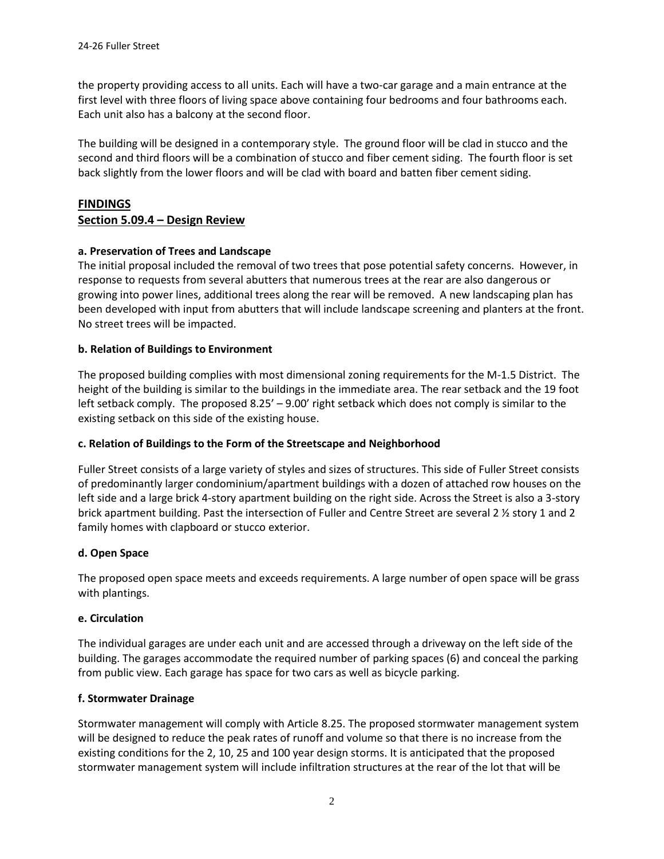the property providing access to all units. Each will have a two-car garage and a main entrance at the first level with three floors of living space above containing four bedrooms and four bathrooms each. Each unit also has a balcony at the second floor.

The building will be designed in a contemporary style. The ground floor will be clad in stucco and the second and third floors will be a combination of stucco and fiber cement siding. The fourth floor is set back slightly from the lower floors and will be clad with board and batten fiber cement siding.

# **FINDINGS**

# **Section 5.09.4 – Design Review**

## **a. Preservation of Trees and Landscape**

The initial proposal included the removal of two trees that pose potential safety concerns. However, in response to requests from several abutters that numerous trees at the rear are also dangerous or growing into power lines, additional trees along the rear will be removed. A new landscaping plan has been developed with input from abutters that will include landscape screening and planters at the front. No street trees will be impacted.

#### **b. Relation of Buildings to Environment**

The proposed building complies with most dimensional zoning requirements for the M-1.5 District. The height of the building is similar to the buildings in the immediate area. The rear setback and the 19 foot left setback comply. The proposed 8.25' – 9.00' right setback which does not comply is similar to the existing setback on this side of the existing house.

#### **c. Relation of Buildings to the Form of the Streetscape and Neighborhood**

Fuller Street consists of a large variety of styles and sizes of structures. This side of Fuller Street consists of predominantly larger condominium/apartment buildings with a dozen of attached row houses on the left side and a large brick 4-story apartment building on the right side. Across the Street is also a 3-story brick apartment building. Past the intersection of Fuller and Centre Street are several 2 ½ story 1 and 2 family homes with clapboard or stucco exterior.

#### **d. Open Space**

The proposed open space meets and exceeds requirements. A large number of open space will be grass with plantings.

#### **e. Circulation**

The individual garages are under each unit and are accessed through a driveway on the left side of the building. The garages accommodate the required number of parking spaces (6) and conceal the parking from public view. Each garage has space for two cars as well as bicycle parking.

#### **f. Stormwater Drainage**

Stormwater management will comply with Article 8.25. The proposed stormwater management system will be designed to reduce the peak rates of runoff and volume so that there is no increase from the existing conditions for the 2, 10, 25 and 100 year design storms. It is anticipated that the proposed stormwater management system will include infiltration structures at the rear of the lot that will be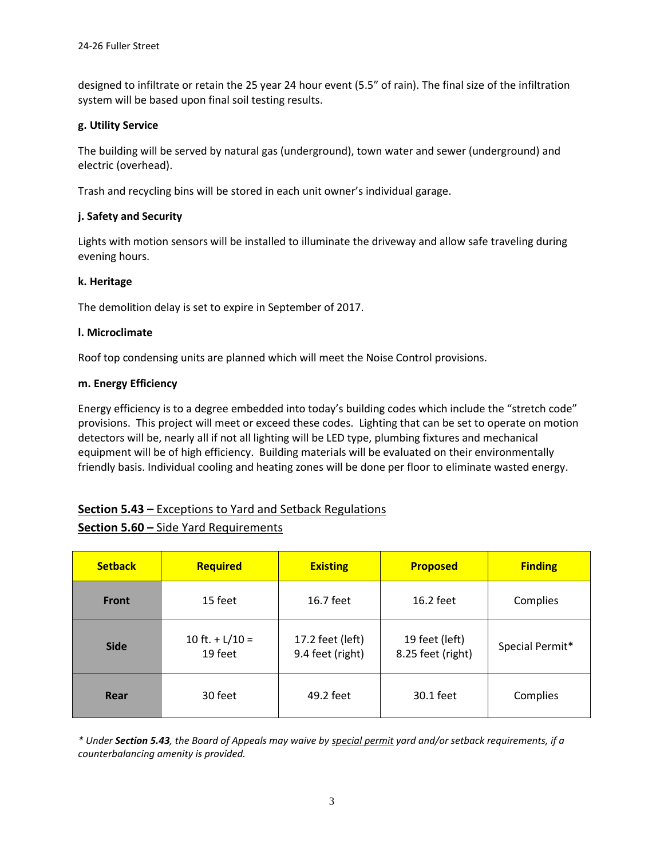designed to infiltrate or retain the 25 year 24 hour event (5.5" of rain). The final size of the infiltration system will be based upon final soil testing results.

#### **g. Utility Service**

The building will be served by natural gas (underground), town water and sewer (underground) and electric (overhead).

Trash and recycling bins will be stored in each unit owner's individual garage.

## **j. Safety and Security**

Lights with motion sensors will be installed to illuminate the driveway and allow safe traveling during evening hours.

#### **k. Heritage**

The demolition delay is set to expire in September of 2017.

#### **l. Microclimate**

Roof top condensing units are planned which will meet the Noise Control provisions.

#### **m. Energy Efficiency**

Energy efficiency is to a degree embedded into today's building codes which include the "stretch code" provisions. This project will meet or exceed these codes. Lighting that can be set to operate on motion detectors will be, nearly all if not all lighting will be LED type, plumbing fixtures and mechanical equipment will be of high efficiency. Building materials will be evaluated on their environmentally friendly basis. Individual cooling and heating zones will be done per floor to eliminate wasted energy.

# **Section 5.43 –** Exceptions to Yard and Setback Regulations

# **Section 5.60 –** Side Yard Requirements

| <b>Setback</b> | <b>Required</b>              | <b>Existing</b>                      | <b>Proposed</b>                     | <b>Finding</b>  |
|----------------|------------------------------|--------------------------------------|-------------------------------------|-----------------|
| <b>Front</b>   | 15 feet                      | 16.7 feet                            | $16.2$ feet                         | Complies        |
| <b>Side</b>    | 10 ft. $+ L/10 =$<br>19 feet | 17.2 feet (left)<br>9.4 feet (right) | 19 feet (left)<br>8.25 feet (right) | Special Permit* |
| Rear           | 30 feet                      | 49.2 feet                            | 30.1 feet                           | Complies        |

*\* Under Section 5.43, the Board of Appeals may waive by special permit yard and/or setback requirements, if a counterbalancing amenity is provided.*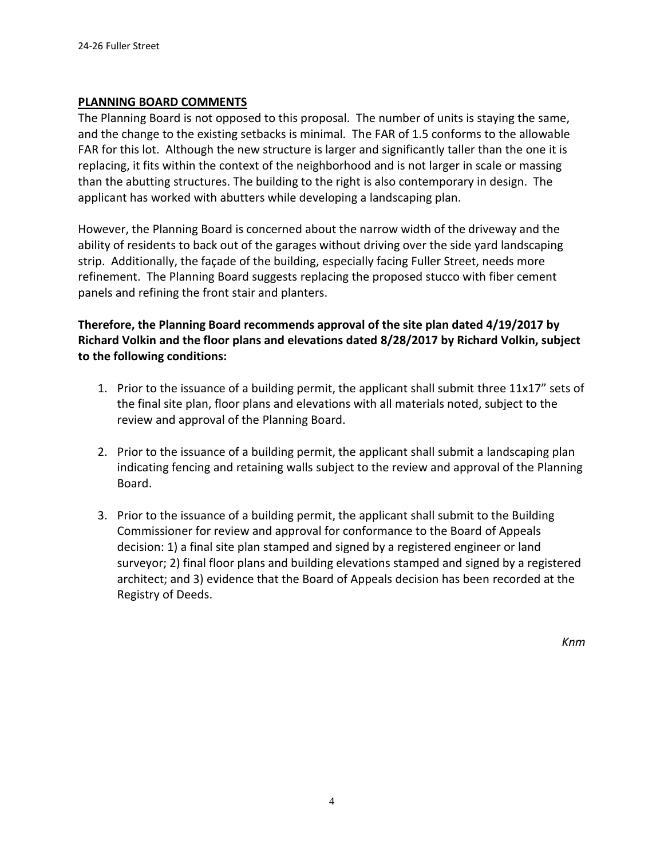# **PLANNING BOARD COMMENTS**

The Planning Board is not opposed to this proposal. The number of units is staying the same, and the change to the existing setbacks is minimal. The FAR of 1.5 conforms to the allowable FAR for this lot. Although the new structure is larger and significantly taller than the one it is replacing, it fits within the context of the neighborhood and is not larger in scale or massing than the abutting structures. The building to the right is also contemporary in design. The applicant has worked with abutters while developing a landscaping plan.

However, the Planning Board is concerned about the narrow width of the driveway and the ability of residents to back out of the garages without driving over the side yard landscaping strip. Additionally, the façade of the building, especially facing Fuller Street, needs more refinement. The Planning Board suggests replacing the proposed stucco with fiber cement panels and refining the front stair and planters.

# **Therefore, the Planning Board recommends approval of the site plan dated 4/19/2017 by Richard Volkin and the floor plans and elevations dated 8/28/2017 by Richard Volkin, subject to the following conditions:**

- 1. Prior to the issuance of a building permit, the applicant shall submit three 11x17" sets of the final site plan, floor plans and elevations with all materials noted, subject to the review and approval of the Planning Board.
- 2. Prior to the issuance of a building permit, the applicant shall submit a landscaping plan indicating fencing and retaining walls subject to the review and approval of the Planning Board.
- 3. Prior to the issuance of a building permit, the applicant shall submit to the Building Commissioner for review and approval for conformance to the Board of Appeals decision: 1) a final site plan stamped and signed by a registered engineer or land surveyor; 2) final floor plans and building elevations stamped and signed by a registered architect; and 3) evidence that the Board of Appeals decision has been recorded at the Registry of Deeds.

*Knm*